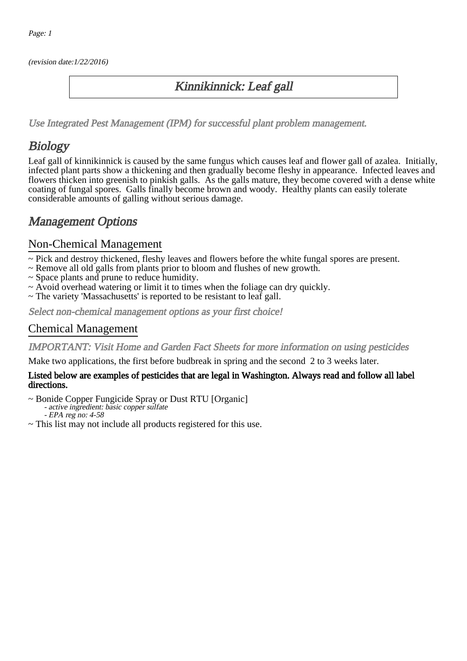(revision date:1/22/2016)

## Kinnikinnick: Leaf gall

[Use Integrated Pest Management \(IPM\) for successful plant problem management.](http://pep.wsu.edu/Home_Garden/H_G_Pesticide_info/urban_Integrated_Pest_Managmen/)

## **Biology**

Leaf gall of kinnikinnick is caused by the same fungus which causes leaf and flower gall of azalea. Initially, infected plant parts show a thickening and then gradually become fleshy in appearance. Infected leaves and flowers thicken into greenish to pinkish galls. As the galls mature, they become covered with a dense white coating of fungal spores. Galls finally become brown and woody. Healthy plants can easily tolerate considerable amounts of galling without serious damage.

## Management Options

### Non-Chemical Management

- ~ Pick and destroy thickened, fleshy leaves and flowers before the white fungal spores are present.
- ~ Remove all old galls from plants prior to bloom and flushes of new growth.
- ~ Space plants and prune to reduce humidity.
- ~ Avoid overhead watering or limit it to times when the foliage can dry quickly.
- ~ The variety 'Massachusetts' is reported to be resistant to leaf gall.

Select non-chemical management options as your first choice!

### Chemical Management

IMPORTANT: [Visit Home and Garden Fact Sheets for more information on using pesticides](http://pep.wsu.edu/Home_Garden/H_G_Pesticide_info/)

Make two applications, the first before budbreak in spring and the second 2 to 3 weeks later.

#### Listed below are examples of pesticides that are legal in Washington. Always read and follow all label directions.

~ Bonide Copper Fungicide Spray or Dust RTU [Organic] - active ingredient: basic copper sulfate

- EPA reg no: 4-58

~ This list may not include all products registered for this use.